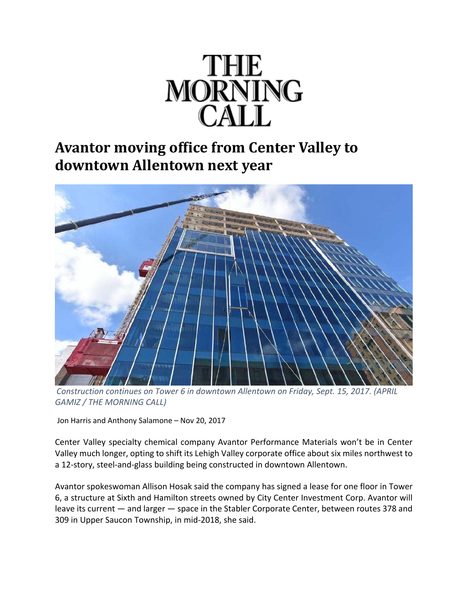

## **Avantor moving office from Center Valley to downtown Allentown next year**



*Construction continues on Tower 6 in downtown Allentown on Friday, Sept. 15, 2017. (APRIL GAMIZ / THE MORNING CALL)*

Jon Harris and Anthony Salamone – Nov 20, 2017

Center Valley specialty chemical company Avantor Performance Materials won't be in Center Valley much longer, opting to shift its Lehigh Valley corporate office about six miles northwest to a 12‐story, steel‐and‐glass building being constructed in downtown Allentown.

Avantor spokeswoman Allison Hosak said the company has signed a lease for one floor in Tower 6, a structure at Sixth and Hamilton streets owned by City Center Investment Corp. Avantor will leave its current — and larger — space in the Stabler Corporate Center, between routes 378 and 309 in Upper Saucon Township, in mid‐2018, she said.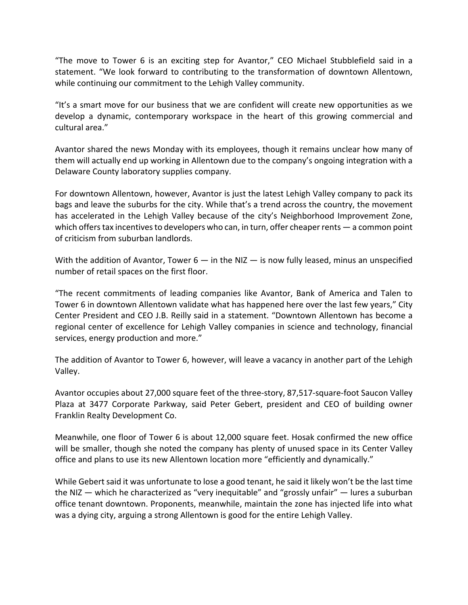"The move to Tower 6 is an exciting step for Avantor," CEO Michael Stubblefield said in a statement. "We look forward to contributing to the transformation of downtown Allentown, while continuing our commitment to the Lehigh Valley community.

"It's a smart move for our business that we are confident will create new opportunities as we develop a dynamic, contemporary workspace in the heart of this growing commercial and cultural area."

Avantor shared the news Monday with its employees, though it remains unclear how many of them will actually end up working in Allentown due to the company's ongoing integration with a Delaware County laboratory supplies company.

For downtown Allentown, however, Avantor is just the latest Lehigh Valley company to pack its bags and leave the suburbs for the city. While that's a trend across the country, the movement has accelerated in the Lehigh Valley because of the city's Neighborhood Improvement Zone, which offers tax incentives to developers who can, in turn, offer cheaper rents — a common point of criticism from suburban landlords.

With the addition of Avantor, Tower  $6 - in$  the NIZ  $-$  is now fully leased, minus an unspecified number of retail spaces on the first floor.

"The recent commitments of leading companies like Avantor, Bank of America and Talen to Tower 6 in downtown Allentown validate what has happened here over the last few years," City Center President and CEO J.B. Reilly said in a statement. "Downtown Allentown has become a regional center of excellence for Lehigh Valley companies in science and technology, financial services, energy production and more."

The addition of Avantor to Tower 6, however, will leave a vacancy in another part of the Lehigh Valley.

Avantor occupies about 27,000 square feet of the three‐story, 87,517‐square‐foot Saucon Valley Plaza at 3477 Corporate Parkway, said Peter Gebert, president and CEO of building owner Franklin Realty Development Co.

Meanwhile, one floor of Tower 6 is about 12,000 square feet. Hosak confirmed the new office will be smaller, though she noted the company has plenty of unused space in its Center Valley office and plans to use its new Allentown location more "efficiently and dynamically."

While Gebert said it was unfortunate to lose a good tenant, he said it likely won't be the last time the NIZ — which he characterized as "very inequitable" and "grossly unfair" — lures a suburban office tenant downtown. Proponents, meanwhile, maintain the zone has injected life into what was a dying city, arguing a strong Allentown is good for the entire Lehigh Valley.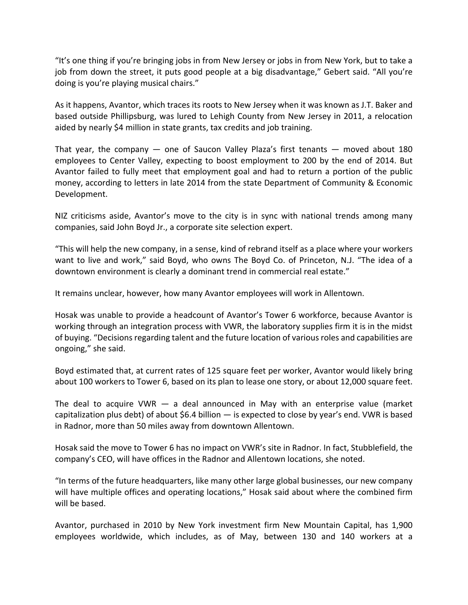"It's one thing if you're bringing jobs in from New Jersey or jobs in from New York, but to take a job from down the street, it puts good people at a big disadvantage," Gebert said. "All you're doing is you're playing musical chairs."

As it happens, Avantor, which traces its roots to New Jersey when it was known as J.T. Baker and based outside Phillipsburg, was lured to Lehigh County from New Jersey in 2011, a relocation aided by nearly \$4 million in state grants, tax credits and job training.

That year, the company  $-$  one of Saucon Valley Plaza's first tenants  $-$  moved about 180 employees to Center Valley, expecting to boost employment to 200 by the end of 2014. But Avantor failed to fully meet that employment goal and had to return a portion of the public money, according to letters in late 2014 from the state Department of Community & Economic Development.

NIZ criticisms aside, Avantor's move to the city is in sync with national trends among many companies, said John Boyd Jr., a corporate site selection expert.

"This will help the new company, in a sense, kind of rebrand itself as a place where your workers want to live and work," said Boyd, who owns The Boyd Co. of Princeton, N.J. "The idea of a downtown environment is clearly a dominant trend in commercial real estate."

It remains unclear, however, how many Avantor employees will work in Allentown.

Hosak was unable to provide a headcount of Avantor's Tower 6 workforce, because Avantor is working through an integration process with VWR, the laboratory supplies firm it is in the midst of buying. "Decisions regarding talent and the future location of various roles and capabilities are ongoing," she said.

Boyd estimated that, at current rates of 125 square feet per worker, Avantor would likely bring about 100 workers to Tower 6, based on its plan to lease one story, or about 12,000 square feet.

The deal to acquire VWR  $-$  a deal announced in May with an enterprise value (market capitalization plus debt) of about \$6.4 billion  $-$  is expected to close by year's end. VWR is based in Radnor, more than 50 miles away from downtown Allentown.

Hosak said the move to Tower 6 has no impact on VWR's site in Radnor. In fact, Stubblefield, the company's CEO, will have offices in the Radnor and Allentown locations, she noted.

"In terms of the future headquarters, like many other large global businesses, our new company will have multiple offices and operating locations," Hosak said about where the combined firm will be based.

Avantor, purchased in 2010 by New York investment firm New Mountain Capital, has 1,900 employees worldwide, which includes, as of May, between 130 and 140 workers at a